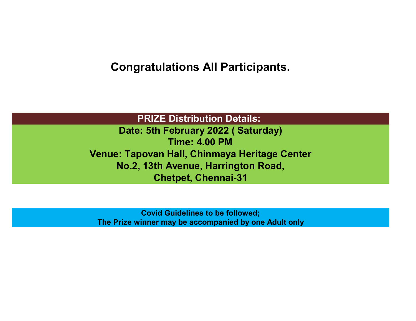**Congratulations All Participants.**

**PRIZE Distribution Details:** 

**Date: 5th February 2022 ( Saturday) Time: 4.00 PM Venue: Tapovan Hall, Chinmaya Heritage Center No.2, 13th Avenue, Harrington Road, Chetpet, Chennai-31**

**Covid Guidelines to be followed; The Prize winner may be accompanied by one Adult only**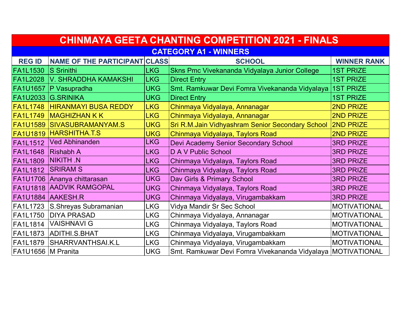| <b>CHINMAYA GEETA CHANTING COMPETITION 2021 - FINALS</b> |                                   |            |                                                             |                     |  |
|----------------------------------------------------------|-----------------------------------|------------|-------------------------------------------------------------|---------------------|--|
| <b>CATEGORY A1 - WINNERS</b>                             |                                   |            |                                                             |                     |  |
| <b>REG ID</b>                                            | NAME OF THE PARTICIPANT CLASS     |            | <b>SCHOOL</b>                                               | <b>WINNER RANK</b>  |  |
| <b>FA1L1530</b>                                          | <b>S</b> Srinithi                 | <b>LKG</b> | Skns Pmc Vivekananda Vidyalaya Junior College               | <b>1ST PRIZE</b>    |  |
| <b>FA1L2028</b>                                          | V. SHRADDHA KAMAKSHI              | <b>LKG</b> | <b>Direct Entry</b>                                         | <b>1ST PRIZE</b>    |  |
| <b>FA1U1657</b>                                          | P Vasupradha                      | <b>UKG</b> | Smt. Ramkuwar Devi Fomra Vivekananda Vidyalaya              | <b>1ST PRIZE</b>    |  |
| <b>FA1U2033</b>                                          | <b>G.SRINIKA</b>                  | <b>UKG</b> | <b>Direct Entry</b>                                         | <b>1ST PRIZE</b>    |  |
| <b>FA1L1748</b>                                          | <b>HIRANMAYI BUSA REDDY</b>       | <b>LKG</b> | Chinmaya Vidyalaya, Annanagar                               | <b>2ND PRIZE</b>    |  |
| <b>FA1L1749</b>                                          | <b>MAGHIZHAN K K</b>              | <b>LKG</b> | Chinmaya Vidyalaya, Annanagar                               | <b>2ND PRIZE</b>    |  |
|                                                          | <b>FA1U1589 SIVASUBRAMANYAM.S</b> | <b>UKG</b> | Sri R.M.Jain Vidhyashram Senior Secondary School            | <b>2ND PRIZE</b>    |  |
|                                                          | <b>FA1U1819 HARSHITHA.T.S</b>     | <b>UKG</b> | Chinmaya Vidyalaya, Taylors Road                            | 2ND PRIZE           |  |
| <b>FA1L1512</b>                                          | <b>Ved Abhinanden</b>             | <b>LKG</b> | Devi Academy Senior Secondary School                        | <b>3RD PRIZE</b>    |  |
| <b>FA1L1648</b>                                          | <b>Rishabh A</b>                  | <b>LKG</b> | D A V Public School                                         | <b>3RD PRIZE</b>    |  |
| <b>FA1L1809</b>                                          | <b>NIKITH N</b>                   | <b>LKG</b> | Chinmaya Vidyalaya, Taylors Road                            | <b>3RD PRIZE</b>    |  |
| <b>FA1L1812</b>                                          | <b>SRIRAM S</b>                   | <b>LKG</b> | Chinmaya Vidyalaya, Taylors Road                            | <b>3RD PRIZE</b>    |  |
|                                                          | FA1U1706 Ananya chittarasan       | <b>UKG</b> | Dav Girls & Primary School                                  | <b>3RD PRIZE</b>    |  |
| <b>FA1U1818</b>                                          | <b>AADVIK RAMGOPAL</b>            | <b>UKG</b> | Chinmaya Vidyalaya, Taylors Road                            | <b>3RD PRIZE</b>    |  |
|                                                          | FA1U1884 AAKESH.R                 | <b>UKG</b> | Chinmaya Vidyalaya, Virugambakkam                           | <b>3RD PRIZE</b>    |  |
| FA1L1723                                                 | S.Shreyas Subramanian             | <b>LKG</b> | Vidya Mandir Sr Sec School                                  | <b>MOTIVATIONAL</b> |  |
| FA1L1750                                                 | <b>DIYA PRASAD</b>                | <b>LKG</b> | Chinmaya Vidyalaya, Annanagar                               | <b>MOTIVATIONAL</b> |  |
| FA1L1814                                                 | <b>VAISHNAVI G</b>                | <b>LKG</b> | Chinmaya Vidyalaya, Taylors Road                            | <b>MOTIVATIONAL</b> |  |
| <b>FA1L1873</b>                                          | ADITHI.S.BHAT                     | <b>LKG</b> | Chinmaya Vidyalaya, Virugambakkam                           | <b>MOTIVATIONAL</b> |  |
| <b>FA1L1879</b>                                          | SHARRVANTHSAI.K.L                 | <b>LKG</b> | Chinmaya Vidyalaya, Virugambakkam                           | <b>MOTIVATIONAL</b> |  |
| FA1U1656   MPranita                                      |                                   | <b>UKG</b> | Smt. Ramkuwar Devi Fomra Vivekananda Vidyalaya MOTIVATIONAL |                     |  |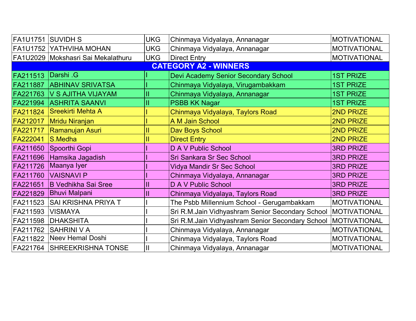| FA1U1751 | <b>SUVIDHS</b>                     | <b>UKG</b> | Chinmaya Vidyalaya, Annanagar                    | <b>MOTIVATIONAL</b> |
|----------|------------------------------------|------------|--------------------------------------------------|---------------------|
|          | FA1U1752 YATHVIHA MOHAN            | <b>UKG</b> | Chinmaya Vidyalaya, Annanagar                    | <b>MOTIVATIONAL</b> |
|          | FA1U2029 Mokshasri Sai Mekalathuru | <b>UKG</b> | <b>Direct Entry</b>                              | <b>MOTIVATIONAL</b> |
|          |                                    |            | <b>CATEGORY A2 - WINNERS</b>                     |                     |
| FA211513 | Darshi .G                          |            | Devi Academy Senior Secondary School             | <b>1ST PRIZE</b>    |
| FA211887 | <b>ABHINAV SRIVATSA</b>            |            | Chinmaya Vidyalaya, Virugambakkam                | <b>1ST PRIZE</b>    |
| FA221763 | <b>V S AJITHA VIJAYAM</b>          | II         | Chinmaya Vidyalaya, Annanagar                    | <b>1ST PRIZE</b>    |
| FA221994 | <b>ASHRITA SAANVI</b>              |            | <b>PSBB KK Nagar</b>                             | <b>1ST PRIZE</b>    |
| FA211824 | Sreekirti Mehta A                  |            | Chinmaya Vidyalaya, Taylors Road                 | 2ND PRIZE           |
| FA212017 | Mridu Niranjan                     |            | A M Jain School                                  | <b>2ND PRIZE</b>    |
| FA221717 | <b>Ramanujan Asuri</b>             |            | Dav Boys School                                  | 2ND PRIZE           |
| FA222041 | S.Medha                            |            | <b>Direct Entry</b>                              | 2ND PRIZE           |
|          | FA211650 Spoorthi Gopi             |            | D A V Public School                              | <b>3RD PRIZE</b>    |
|          | FA211696 Hamsika Jagadish          |            | Sri Sankara Sr Sec School                        | <b>3RD PRIZE</b>    |
|          | FA211726 Maanya Iyer               |            | <b>Vidya Mandir Sr Sec School</b>                | <b>3RD PRIZE</b>    |
| FA211760 | <b>VAISNAVI P</b>                  |            | Chinmaya Vidyalaya, Annanagar                    | <b>3RD PRIZE</b>    |
| FA221651 | <b>B Vedhikha Sai Sree</b>         |            | D A V Public School                              | <b>3RD PRIZE</b>    |
| FA221829 | <b>Bhuvi Malpani</b>               |            | Chinmaya Vidyalaya, Taylors Road                 | <b>3RD PRIZE</b>    |
| FA211523 | <b>SAI KRISHNA PRIYA T</b>         |            | The Psbb Millennium School - Gerugambakkam       | <b>MOTIVATIONAL</b> |
| FA211593 | <b>VISMAYA</b>                     |            | Sri R.M.Jain Vidhyashram Senior Secondary School | <b>MOTIVATIONAL</b> |
| FA211598 | <b>DHAKSHITA</b>                   |            | Sri R.M.Jain Vidhyashram Senior Secondary School | <b>MOTIVATIONAL</b> |
| FA211762 | <b>SAHRINI V A</b>                 |            | Chinmaya Vidyalaya, Annanagar                    | <b>MOTIVATIONAL</b> |
| FA211822 | Neev Hemal Doshi                   |            | Chinmaya Vidyalaya, Taylors Road                 | <b>MOTIVATIONAL</b> |
|          | FA221764 SHREEKRISHNA TONSE        |            | Chinmaya Vidyalaya, Annanagar                    | <b>MOTIVATIONAL</b> |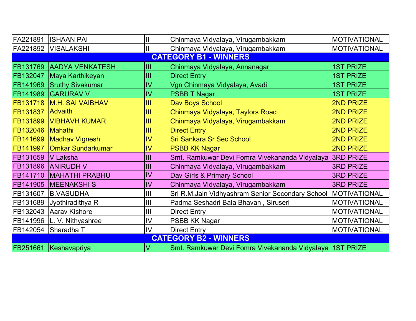| FA221891                     | <b>ISHAAN PAI</b>           | $\mathsf{II}$  | Chinmaya Vidyalaya, Virugambakkam                        | <b>MOTIVATIONAL</b> |  |
|------------------------------|-----------------------------|----------------|----------------------------------------------------------|---------------------|--|
|                              | FA221892   VISALAKSHI       | $\mathsf{I}$   | Chinmaya Vidyalaya, Virugambakkam                        | <b>MOTIVATIONAL</b> |  |
|                              |                             |                | <b>CATEGORY B1 - WINNERS</b>                             |                     |  |
| FB131769                     | <b>AADYA VENKATESH</b>      | Ш              | Chinmaya Vidyalaya, Annanagar                            | <b>1ST PRIZE</b>    |  |
| FB132047                     | Maya Karthikeyan            | III            | <b>Direct Entry</b>                                      | <b>1ST PRIZE</b>    |  |
|                              | FB141969 Sruthy Sivakumar   | IV             | Vgn Chinmaya Vidyalaya, Avadi                            | <b>1ST PRIZE</b>    |  |
|                              | FB141989 GARURAV V          | $\overline{N}$ | <b>PSBB T Nagar</b>                                      | <b>1ST PRIZE</b>    |  |
|                              | FB131718   M.H. SAI VAIBHAV | Ш              | Dav Boys School                                          | 2ND PRIZE           |  |
| FB131837                     | <b>Advaith</b>              | III            | Chinmaya Vidyalaya, Taylors Road                         | 2ND PRIZE           |  |
|                              | FB131899   VIBHAVH KUMAR    | III            | Chinmaya Vidyalaya, Virugambakkam                        | 2ND PRIZE           |  |
| FB132046 Mahathi             |                             | Ш              | <b>Direct Entry</b>                                      | 2ND PRIZE           |  |
|                              | FB141699 Madhav Vignesh     | $\overline{N}$ | <b>Sri Sankara Sr Sec School</b>                         | 2ND PRIZE           |  |
| FB141997                     | <b>Omkar Sundarkumar</b>    | IV             | <b>PSBB KK Nagar</b>                                     | 2ND PRIZE           |  |
| FB131659                     | <b>V</b> Laksha             | III            | Smt. Ramkuwar Devi Fomra Vivekananda Vidyalaya           | <b>3RD PRIZE</b>    |  |
|                              | FB131896 ANIRUDH V          | III            | Chinmaya Vidyalaya, Virugambakkam                        | <b>3RD PRIZE</b>    |  |
|                              | FB141710   MAHATHI PRABHU   | IV             | Dav Girls & Primary School                               | <b>3RD PRIZE</b>    |  |
|                              | FB141905   MEENAKSHIS       | IV             | Chinmaya Vidyalaya, Virugambakkam                        | <b>3RD PRIZE</b>    |  |
| FB131607                     | <b>B.VASUDHA</b>            | Ш              | Sri R.M.Jain Vidhyashram Senior Secondary School         | <b>MOTIVATIONAL</b> |  |
| FB131689                     | Jyothiradithya R            | III            | Padma Seshadri Bala Bhavan, Siruseri                     | <b>MOTIVATIONAL</b> |  |
| FB132043                     | Aarav Kishore               | Ш              | <b>Direct Entry</b>                                      | <b>MOTIVATIONAL</b> |  |
|                              | FB141996  L. V. Nithyashree | IV             | PSBB KK Nagar                                            | <b>MOTIVATIONAL</b> |  |
| FB142054                     | Sharadha T                  | IV             | <b>Direct Entry</b>                                      | <b>MOTIVATIONAL</b> |  |
| <b>CATEGORY B2 - WINNERS</b> |                             |                |                                                          |                     |  |
| FB251661                     | Keshavapriya                | İV             | Smt. Ramkuwar Devi Fomra Vivekananda Vidyalaya 1ST PRIZE |                     |  |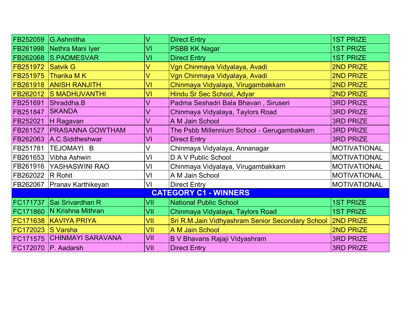|                              | FB252059 G.Ashmitha           | $\vee$ | <b>Direct Entry</b>                              | <b>1ST PRIZE</b>    |  |  |
|------------------------------|-------------------------------|--------|--------------------------------------------------|---------------------|--|--|
|                              | FB261998 Nethra Mani Iyer     | VI     | <b>PSBB KK Nagar</b>                             | <b>1ST PRIZE</b>    |  |  |
|                              | FB262068 S.PADMESVAR          | VI     | <b>Direct Entry</b>                              | <b>1ST PRIZE</b>    |  |  |
| <b>FB251972 Satvik G</b>     |                               | V      | Vgn Chinmaya Vidyalaya, Avadi                    | 2ND PRIZE           |  |  |
| FB251975                     | Tharika M K                   | $\vee$ | Vgn Chinmaya Vidyalaya, Avadi                    | 2ND PRIZE           |  |  |
|                              | FB261918 ANISH RANJITH        | VI     | Chinmaya Vidyalaya, Virugambakkam                | 2ND PRIZE           |  |  |
|                              | FB262012 S MADHUVANTHI        | VI     | Hindu Sr Sec School, Adyar                       | 2ND PRIZE           |  |  |
|                              | FB251691 Shraddha.B           | V      | Padma Seshadri Bala Bhavan, Siruseri             | <b>3RD PRIZE</b>    |  |  |
| FB251847                     | <b>SKANDA</b>                 | V      | Chinmaya Vidyalaya, Taylors Road                 | <b>3RD PRIZE</b>    |  |  |
| FB252021                     | H Ragavan                     | V      | A M Jain School                                  | <b>3RD PRIZE</b>    |  |  |
| FB261527                     | <b>PRASANNA GOWTHAM</b>       | VI     | The Psbb Millennium School - Gerugambakkam       | <b>3RD PRIZE</b>    |  |  |
|                              | FB262063 A.C.Siddheshwar      | VI     | <b>Direct Entry</b>                              | <b>3RD PRIZE</b>    |  |  |
|                              | FB251781  TEJOMAYI B          | V      | Chinmaya Vidyalaya, Annanagar                    | <b>MOTIVATIONAL</b> |  |  |
|                              | FB261653   Vibha Ashwin       | VI     | D A V Public School                              | <b>MOTIVATIONAL</b> |  |  |
|                              | FB261916 YASHASWINI RAO       | VI     | Chinmaya Vidyalaya, Virugambakkam                | <b>MOTIVATIONAL</b> |  |  |
| FB262022   R Rohit           |                               | VI     | A M Jain School                                  | <b>MOTIVATIONAL</b> |  |  |
|                              | FB262067   Pranav Karthikeyan | VI     | <b>Direct Entry</b>                              | <b>MOTIVATIONAL</b> |  |  |
| <b>CATEGORY C1 - WINNERS</b> |                               |        |                                                  |                     |  |  |
| FC171737                     | Sai Srivardhan R              | VII    | <b>National Public School</b>                    | <b>1ST PRIZE</b>    |  |  |
|                              | FC171860   N Krishna Mithran  | VII    | Chinmaya Vidyalaya, Taylors Road                 | <b>1ST PRIZE</b>    |  |  |
|                              | FC171638 KAVIYA PRIYA         | VII    | Sri R.M.Jain Vidhyashram Senior Secondary School | <b>2ND PRIZE</b>    |  |  |
| FC172023 S Varsha            |                               | VII    | A M Jain School                                  | 2ND PRIZE           |  |  |
|                              | FC171575 CHINMAYI SARAVANA    | VII    | B V Bhavans Rajaji Vidyashram                    | <b>3RD PRIZE</b>    |  |  |
|                              | FC172070   P. Aadarsh         | VII    | <b>Direct Entry</b>                              | <b>3RD PRIZE</b>    |  |  |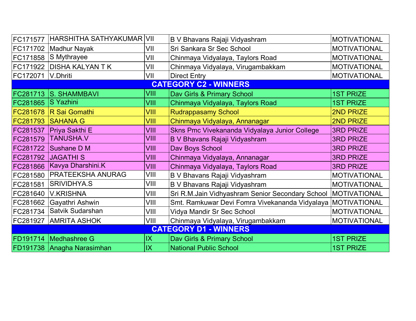| FC171577                     | HARSHITHA SATHYAKUMAR      | VII  | B V Bhavans Rajaji Vidyashram                    | <b>MOTIVATIONAL</b> |
|------------------------------|----------------------------|------|--------------------------------------------------|---------------------|
|                              | FC171702   Madhur Nayak    | VII  | Sri Sankara Sr Sec School                        | <b>MOTIVATIONAL</b> |
| FC171858                     | S Mythrayee                | VII  | Chinmaya Vidyalaya, Taylors Road                 | <b>MOTIVATIONAL</b> |
| FC171922                     | <b>DISHA KALYAN T K</b>    | VII  | Chinmaya Vidyalaya, Virugambakkam                | <b>MOTIVATIONAL</b> |
| FC172071                     | V.Dhriti                   | VII  | <b>Direct Entry</b>                              | <b>MOTIVATIONAL</b> |
|                              |                            |      | <b>CATEGORY C2 - WINNERS</b>                     |                     |
|                              | FC281713 S. SHAMMBAVI      | VIII | Dav Girls & Primary School                       | <b>1ST PRIZE</b>    |
| FC281865                     | <b>S</b> Yazhini           | VIII | Chinmaya Vidyalaya, Taylors Road                 | <b>1ST PRIZE</b>    |
| FC281678                     | R Sai Gomathi              | VIII | <b>Rudrappasamy School</b>                       | <b>2ND PRIZE</b>    |
| FC281793                     | <b>SAHANA G</b>            | VIII | Chinmaya Vidyalaya, Annanagar                    | 2ND PRIZE           |
|                              | FC281537   Priya Sakthi E  | VIII | Skns Pmc Vivekananda Vidyalaya Junior College    | <b>3RD PRIZE</b>    |
| FC281579                     | <b>TANUSHA.V</b>           | VIII | <b>B V Bhavans Rajaji Vidyashram</b>             | <b>3RD PRIZE</b>    |
| FC281722                     | Sushane D M                | VIII | Dav Boys School                                  | <b>3RD PRIZE</b>    |
| FC281792                     | <b>JAGATHI S</b>           | VIII | Chinmaya Vidyalaya, Annanagar                    | <b>3RD PRIZE</b>    |
| FC281866                     | Kavya Dharshini.K          | VIII | Chinmaya Vidyalaya, Taylors Road                 | <b>3RD PRIZE</b>    |
| FC281580                     | PRATEEKSHA ANURAG          | VIII | B V Bhavans Rajaji Vidyashram                    | <b>MOTIVATIONAL</b> |
| FC281581                     | <b>SRIVIDHYA.S</b>         | VIII | B V Bhavans Rajaji Vidyashram                    | <b>MOTIVATIONAL</b> |
| FC281640                     | <b>V.KRISHNA</b>           | VIII | Sri R.M.Jain Vidhyashram Senior Secondary School | MOTIVATIONAL        |
| FC281662                     | Gayathri Ashwin            | VIII | Smt. Ramkuwar Devi Fomra Vivekananda Vidyalaya   | <b>MOTIVATIONAL</b> |
| FC281734                     | Satvik Sudarshan           | VIII | Vidya Mandir Sr Sec School                       | <b>MOTIVATIONAL</b> |
| FC281927                     | <b>AMRITA ASHOK</b>        | VIII | Chinmaya Vidyalaya, Virugambakkam                | <b>MOTIVATIONAL</b> |
| <b>CATEGORY D1 - WINNERS</b> |                            |      |                                                  |                     |
|                              | FD191714   Medhashree G    | IX   | Dav Girls & Primary School                       | <b>1ST PRIZE</b>    |
|                              | FD191738 Anagha Narasimhan | IX   | <b>National Public School</b>                    | <b>1ST PRIZE</b>    |